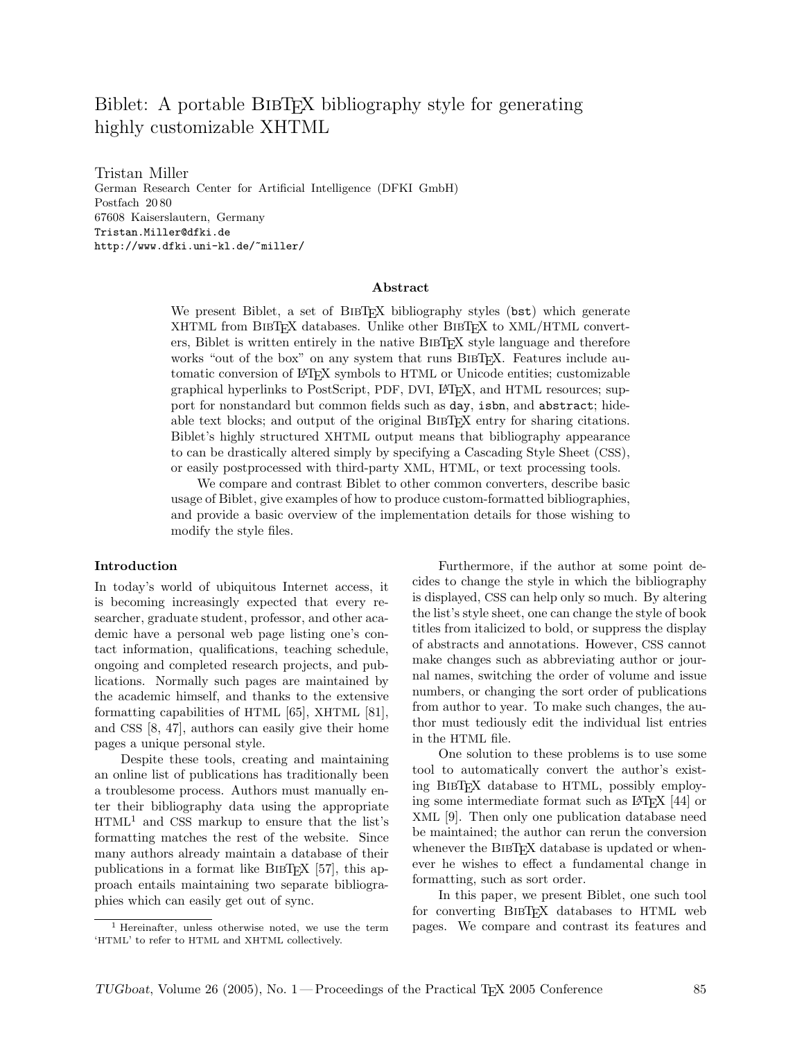# Biblet: A portable BIBT<sub>EX</sub> bibliography style for generating highly customizable XHTML

Tristan Miller German Research Center for Artificial Intelligence (DFKI GmbH) Postfach 20 80 67608 Kaiserslautern, Germany Tristan.Miller@dfki.de http://www.dfki.uni-kl.de/~miller/

#### Abstract

We present Biblet, a set of BIBT<sub>EX</sub> bibliography styles (bst) which generate XHTML from BIBTEX databases. Unlike other BIBTEX to XML/HTML converters, Biblet is written entirely in the native BibTEX style language and therefore works "out of the box" on any system that runs BIBTFX. Features include automatic conversion of L<sup>A</sup>TEX symbols to HTML or Unicode entities; customizable graphical hyperlinks to PostScript, PDF, DVI, L<sup>A</sup>TEX, and HTML resources; support for nonstandard but common fields such as day, isbn, and abstract; hideable text blocks; and output of the original BIBTFX entry for sharing citations. Biblet's highly structured XHTML output means that bibliography appearance to can be drastically altered simply by specifying a Cascading Style Sheet (CSS), or easily postprocessed with third-party XML, HTML, or text processing tools.

We compare and contrast Biblet to other common converters, describe basic usage of Biblet, give examples of how to produce custom-formatted bibliographies, and provide a basic overview of the implementation details for those wishing to modify the style files.

#### Introduction

In today's world of ubiquitous Internet access, it is becoming increasingly expected that every researcher, graduate student, professor, and other academic have a personal web page listing one's contact information, qualifications, teaching schedule, ongoing and completed research projects, and publications. Normally such pages are maintained by the academic himself, and thanks to the extensive formatting capabilities of HTML [65], XHTML [81], and CSS [8, 47], authors can easily give their home pages a unique personal style.

Despite these tools, creating and maintaining an online list of publications has traditionally been a troublesome process. Authors must manually enter their bibliography data using the appropriate  $HTML<sup>1</sup>$  and CSS markup to ensure that the list's formatting matches the rest of the website. Since many authors already maintain a database of their publications in a format like  $BIBTFX$  [57], this approach entails maintaining two separate bibliographies which can easily get out of sync.

Furthermore, if the author at some point decides to change the style in which the bibliography is displayed, CSS can help only so much. By altering the list's style sheet, one can change the style of book titles from italicized to bold, or suppress the display of abstracts and annotations. However, CSS cannot make changes such as abbreviating author or journal names, switching the order of volume and issue numbers, or changing the sort order of publications from author to year. To make such changes, the author must tediously edit the individual list entries in the HTML file.

One solution to these problems is to use some tool to automatically convert the author's existing BibTEX database to HTML, possibly employing some intermediate format such as L<sup>A</sup>TEX [44] or XML [9]. Then only one publication database need be maintained; the author can rerun the conversion whenever the BIBT<sub>EX</sub> database is updated or whenever he wishes to effect a fundamental change in formatting, such as sort order.

In this paper, we present Biblet, one such tool for converting BIBT<sub>EX</sub> databases to HTML web pages. We compare and contrast its features and

<sup>1</sup> Hereinafter, unless otherwise noted, we use the term 'HTML' to refer to HTML and XHTML collectively.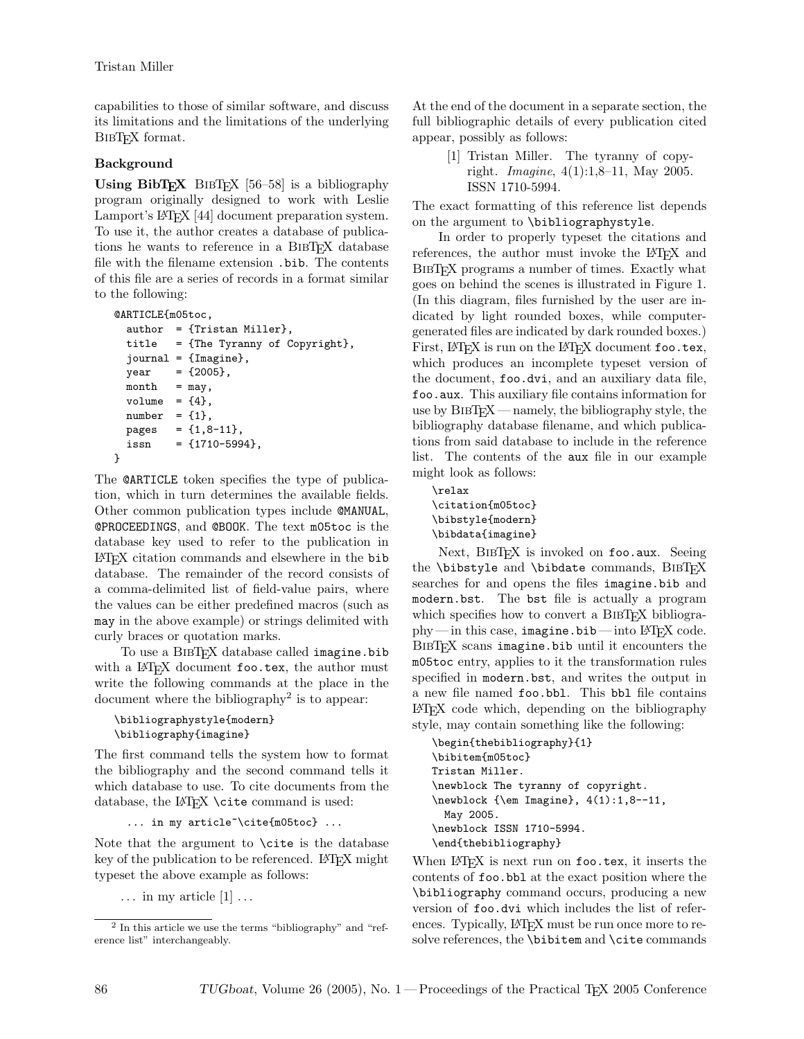capabilities to those of similar software, and discuss its limitations and the limitations of the underlying BIBT<sub>EX</sub> format.

## Background

Using  $\text{BibT}_{\text{E}}\text{X}$  BIBT<sub>E</sub>X [56–58] is a bibliography program originally designed to work with Leslie Lamport's L<sup>A</sup>TEX [44] document preparation system. To use it, the author creates a database of publications he wants to reference in a BIBT<sub>EX</sub> database file with the filename extension .bib. The contents of this file are a series of records in a format similar to the following:

```
@ARTICLE{m05toc,
  author = {Tristan Miller},
  title = {The Tyranny of Copyright},
  journal = {Imagine},
  year = {2005},month = may,volume = {4},
  number = {1},pages = {1,8-11},issn = \{1710 - 5994\}.}
```
The @ARTICLE token specifies the type of publication, which in turn determines the available fields. Other common publication types include @MANUAL, @PROCEEDINGS, and @BOOK. The text m05toc is the database key used to refer to the publication in L<sup>A</sup>TEX citation commands and elsewhere in the bib database. The remainder of the record consists of a comma-delimited list of field-value pairs, where the values can be either predefined macros (such as may in the above example) or strings delimited with curly braces or quotation marks.

To use a BIBT<sub>E</sub>X database called imagine.bib with a L<sup>AT</sup>FX document foo.tex, the author must write the following commands at the place in the document where the bibliography<sup>2</sup> is to appear:

```
\bibliographystyle{modern}
\bibliography{imagine}
```
The first command tells the system how to format the bibliography and the second command tells it which database to use. To cite documents from the database, the L<sup>AT</sup>FX \cite command is used:

... in my article<sup>~</sup>\cite{m05toc} ...

Note that the argument to \cite is the database key of the publication to be referenced. LATEX might typeset the above example as follows:

 $\ldots$  in my article  $[1]$ ...

At the end of the document in a separate section, the full bibliographic details of every publication cited appear, possibly as follows:

> [1] Tristan Miller. The tyranny of copyright. Imagine, 4(1):1,8–11, May 2005. ISSN 1710-5994.

The exact formatting of this reference list depends on the argument to \bibliographystyle.

In order to properly typeset the citations and references, the author must invoke the LAT<sub>EX</sub> and BIBT<sub>EX</sub> programs a number of times. Exactly what goes on behind the scenes is illustrated in Figure 1. (In this diagram, files furnished by the user are indicated by light rounded boxes, while computergenerated files are indicated by dark rounded boxes.) First, LAT<sub>E</sub>X is run on the LAT<sub>E</sub>X document foo.tex, which produces an incomplete typeset version of the document, foo.dvi, and an auxiliary data file, foo.aux. This auxiliary file contains information for use by  $BIBT<sub>F</sub>X$  — namely, the bibliography style, the bibliography database filename, and which publications from said database to include in the reference list. The contents of the aux file in our example might look as follows:

\relax \citation{m05toc} \bibstyle{modern} \bibdata{imagine}

Next, BIBTFX is invoked on foo.aux. Seeing the \bibstyle and \bibdate commands, BIBTFX searches for and opens the files imagine.bib and modern.bst. The bst file is actually a program which specifies how to convert a BIBT<sub>EX</sub> bibliogra $phy$ — in this case, imagine.bib— into LAT<sub>EX</sub> code. BIBT<sub>EX</sub> scans imagine.bib until it encounters the m05toc entry, applies to it the transformation rules specified in modern.bst, and writes the output in a new file named foo.bbl. This bbl file contains L<sup>A</sup>TEX code which, depending on the bibliography style, may contain something like the following:

\begin{thebibliography}{1} \bibitem{m05toc} Tristan Miller. \newblock The tyranny of copyright. \newblock {\em Imagine}, 4(1):1,8--11, May 2005. \newblock ISSN 1710-5994. \end{thebibliography}

When LAT<sub>EX</sub> is next run on foo.tex, it inserts the contents of foo.bbl at the exact position where the \bibliography command occurs, producing a new version of foo.dvi which includes the list of references. Typically, LAT<sub>E</sub>X must be run once more to resolve references, the \bibitem and \cite commands

<sup>2</sup> In this article we use the terms "bibliography" and "reference list" interchangeably.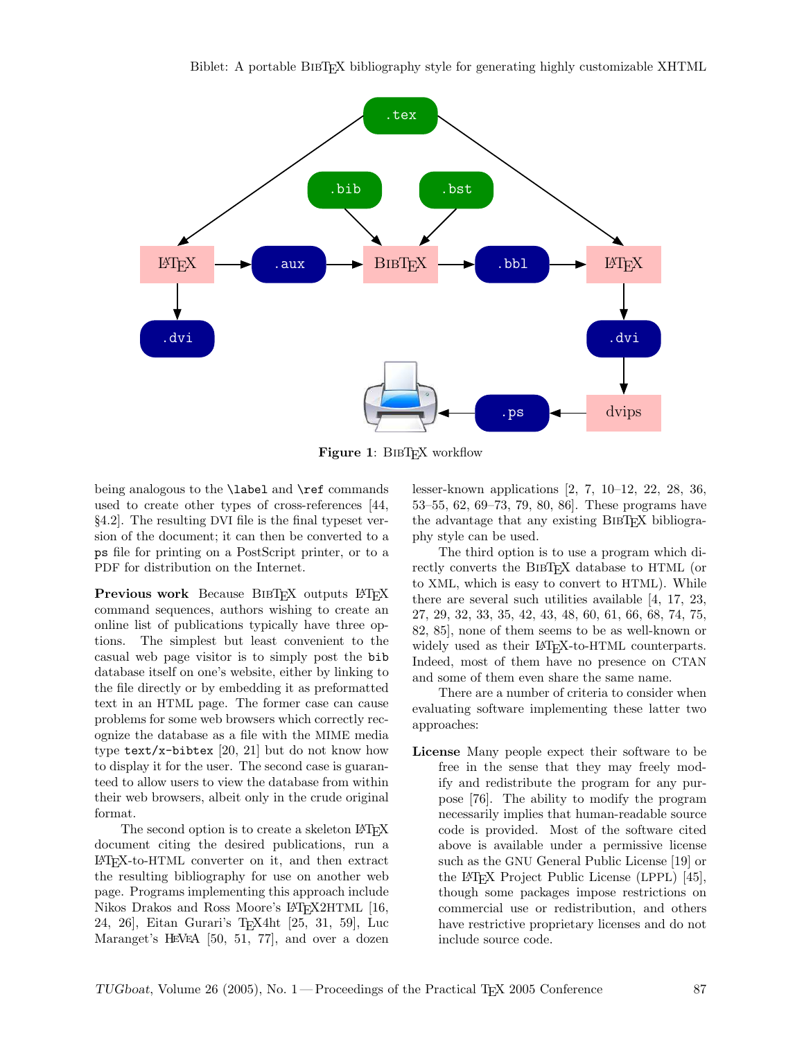

Figure 1: BIBT<sub>F</sub>X workflow

being analogous to the \label and \ref commands used to create other types of cross-references [44, §4.2]. The resulting DVI file is the final typeset version of the document; it can then be converted to a ps file for printing on a PostScript printer, or to a PDF for distribution on the Internet.

Previous work Because BIBT<sub>EX</sub> outputs LATEX command sequences, authors wishing to create an online list of publications typically have three options. The simplest but least convenient to the casual web page visitor is to simply post the bib database itself on one's website, either by linking to the file directly or by embedding it as preformatted text in an HTML page. The former case can cause problems for some web browsers which correctly recognize the database as a file with the MIME media type  $text/x$ -bibtex [20, 21] but do not know how to display it for the user. The second case is guaranteed to allow users to view the database from within their web browsers, albeit only in the crude original format.

The second option is to create a skeleton LAT<sub>EX</sub> document citing the desired publications, run a L<sup>A</sup>TEX-to-HTML converter on it, and then extract the resulting bibliography for use on another web page. Programs implementing this approach include Nikos Drakos and Ross Moore's LAT<sub>E</sub>X2HTML [16, 24, 26], Eitan Gurari's TEX4ht [25, 31, 59], Luc Maranget's H<sup>E</sup>V<sup>E</sup>A [50, 51, 77], and over a dozen

lesser-known applications [2, 7, 10–12, 22, 28, 36, 53–55, 62, 69–73, 79, 80, 86]. These programs have the advantage that any existing BIBT<sub>EX</sub> bibliography style can be used.

The third option is to use a program which directly converts the BIBTEX database to HTML (or to XML, which is easy to convert to HTML). While there are several such utilities available [4, 17, 23, 27, 29, 32, 33, 35, 42, 43, 48, 60, 61, 66, 68, 74, 75, 82, 85], none of them seems to be as well-known or widely used as their LAT<sub>EX</sub>-to-HTML counterparts. Indeed, most of them have no presence on CTAN and some of them even share the same name.

There are a number of criteria to consider when evaluating software implementing these latter two approaches:

License Many people expect their software to be free in the sense that they may freely modify and redistribute the program for any purpose [76]. The ability to modify the program necessarily implies that human-readable source code is provided. Most of the software cited above is available under a permissive license such as the GNU General Public License [19] or the L<sup>A</sup>TEX Project Public License (LPPL) [45], though some packages impose restrictions on commercial use or redistribution, and others have restrictive proprietary licenses and do not include source code.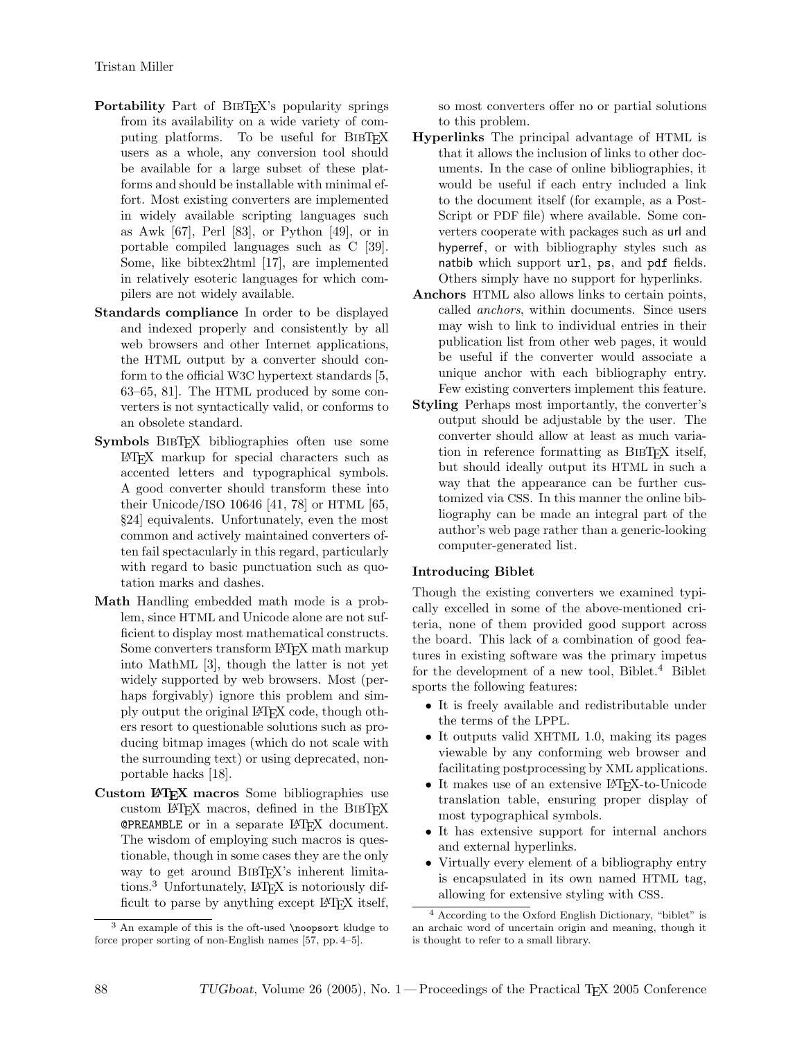- Portability Part of BIBTEX's popularity springs from its availability on a wide variety of computing platforms. To be useful for BIBTEX users as a whole, any conversion tool should be available for a large subset of these platforms and should be installable with minimal effort. Most existing converters are implemented in widely available scripting languages such as Awk [67], Perl [83], or Python [49], or in portable compiled languages such as C [39]. Some, like bibtex2html [17], are implemented in relatively esoteric languages for which compilers are not widely available.
- Standards compliance In order to be displayed and indexed properly and consistently by all web browsers and other Internet applications, the HTML output by a converter should conform to the official W3C hypertext standards [5, 63–65, 81]. The HTML produced by some converters is not syntactically valid, or conforms to an obsolete standard.
- Symbols BIBT<sub>EX</sub> bibliographies often use some L<sup>A</sup>TEX markup for special characters such as accented letters and typographical symbols. A good converter should transform these into their Unicode/ISO 10646 [41, 78] or HTML [65, §24] equivalents. Unfortunately, even the most common and actively maintained converters often fail spectacularly in this regard, particularly with regard to basic punctuation such as quotation marks and dashes.
- Math Handling embedded math mode is a problem, since HTML and Unicode alone are not sufficient to display most mathematical constructs. Some converters transform LAT<sub>E</sub>X math markup into MathML [3], though the latter is not yet widely supported by web browsers. Most (perhaps forgivably) ignore this problem and simply output the original L<sup>A</sup>TEX code, though others resort to questionable solutions such as producing bitmap images (which do not scale with the surrounding text) or using deprecated, nonportable hacks [18].
- Custom LATEX macros Some bibliographies use custom LATEX macros, defined in the BIBTEX @PREAMBLE or in a separate L<sup>A</sup>TEX document. The wisdom of employing such macros is questionable, though in some cases they are the only way to get around BIBTEX's inherent limitations.<sup>3</sup> Unfortunately, LAT<sub>E</sub>X is notoriously difficult to parse by anything except LAT<sub>EX</sub> itself,

so most converters offer no or partial solutions to this problem.

- Hyperlinks The principal advantage of HTML is that it allows the inclusion of links to other documents. In the case of online bibliographies, it would be useful if each entry included a link to the document itself (for example, as a Post-Script or PDF file) where available. Some converters cooperate with packages such as url and hyperref, or with bibliography styles such as natbib which support url, ps, and pdf fields. Others simply have no support for hyperlinks.
- Anchors HTML also allows links to certain points, called anchors, within documents. Since users may wish to link to individual entries in their publication list from other web pages, it would be useful if the converter would associate a unique anchor with each bibliography entry. Few existing converters implement this feature.
- Styling Perhaps most importantly, the converter's output should be adjustable by the user. The converter should allow at least as much variation in reference formatting as BibTEX itself, but should ideally output its HTML in such a way that the appearance can be further customized via CSS. In this manner the online bibliography can be made an integral part of the author's web page rather than a generic-looking computer-generated list.

#### Introducing Biblet

Though the existing converters we examined typically excelled in some of the above-mentioned criteria, none of them provided good support across the board. This lack of a combination of good features in existing software was the primary impetus for the development of a new tool, Biblet.<sup>4</sup> Biblet sports the following features:

- It is freely available and redistributable under the terms of the LPPL.
- It outputs valid XHTML 1.0, making its pages viewable by any conforming web browser and facilitating postprocessing by XML applications.
- It makes use of an extensive LAT<sub>EX</sub>-to-Unicode translation table, ensuring proper display of most typographical symbols.
- It has extensive support for internal anchors and external hyperlinks.
- Virtually every element of a bibliography entry is encapsulated in its own named HTML tag, allowing for extensive styling with CSS.

 $3$  An example of this is the oft-used \noopsort kludge to force proper sorting of non-English names [57, pp. 4–5].

<sup>4</sup> According to the Oxford English Dictionary, "biblet" is an archaic word of uncertain origin and meaning, though it is thought to refer to a small library.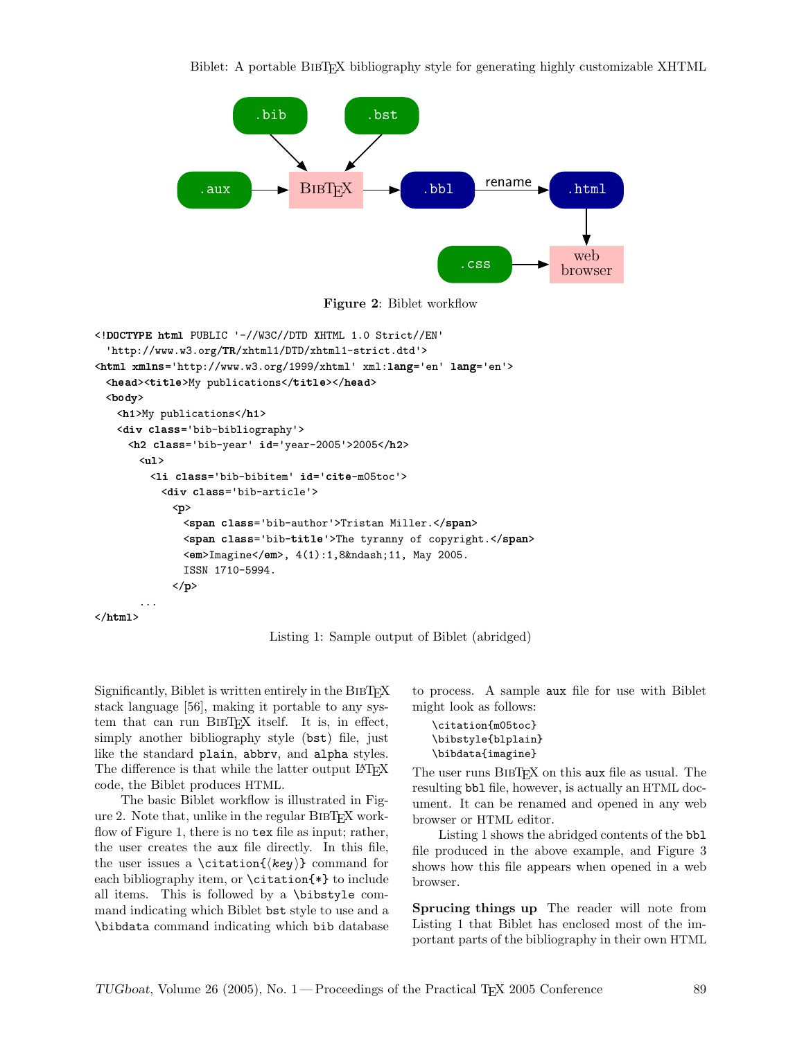

Figure 2: Biblet workflow

```
<!DOCTYPE html PUBLIC '-//W3C//DTD XHTML 1.0 Strict//EN'
  'http://www.w3.org/❚❘/xhtml1/DTD/xhtml1-strict.dtd'>
<html xmlns='http://www.w3.org/1999/xhtml' xml:lang='en' lang='en'>
 <head><title>My publications</title></head>
 <br/>body>
   <h1>My publications</h1>
   <❞✐✈ ❝❧❛ss='bib-bibliography'>
     <h2 class='bib-year' id='year-2005'>2005</h2>
       \langleu1>
         <❧✐ ❝❧❛ss='bib-bibitem' ✐❞='❝✐t❡-m05toc'>
           <❞✐✈ ❝❧❛ss='bib-article'>
             <♣>
               <span class='bib-author'>Tristan Miller.</span>
               <span class='bib-title'>The tyranny of copyright.</span>
               <em>Imagine</em>, 4(1):1,8&ndash;11, May 2005.
              ISSN 1710-5994.
             \langle/p>
       ...
</html>
```
Listing 1: Sample output of Biblet (abridged)

Significantly, Biblet is written entirely in the BIBT<sub>EX</sub> stack language [56], making it portable to any system that can run BIBTFX itself. It is, in effect, simply another bibliography style (bst) file, just like the standard plain, abbrv, and alpha styles. The difference is that while the latter output LATEX code, the Biblet produces HTML.

The basic Biblet workflow is illustrated in Figure 2. Note that, unlike in the regular  $BIBT$ <sub>EX</sub> workflow of Figure 1, there is no tex file as input; rather, the user creates the aux file directly. In this file, the user issues a \citation{ $\{key\}$  command for each bibliography item, or \citation{\*} to include all items. This is followed by a \bibstyle command indicating which Biblet bst style to use and a \bibdata command indicating which bib database

to process. A sample aux file for use with Biblet might look as follows:

```
\citation{m05toc}
\bibstyle{blplain}
\bibdata{imagine}
```
The user runs BIBT<sub>EX</sub> on this aux file as usual. The resulting bbl file, however, is actually an HTML document. It can be renamed and opened in any web browser or HTML editor.

Listing 1 shows the abridged contents of the bbl file produced in the above example, and Figure 3 shows how this file appears when opened in a web browser.

Sprucing things up The reader will note from Listing 1 that Biblet has enclosed most of the important parts of the bibliography in their own HTML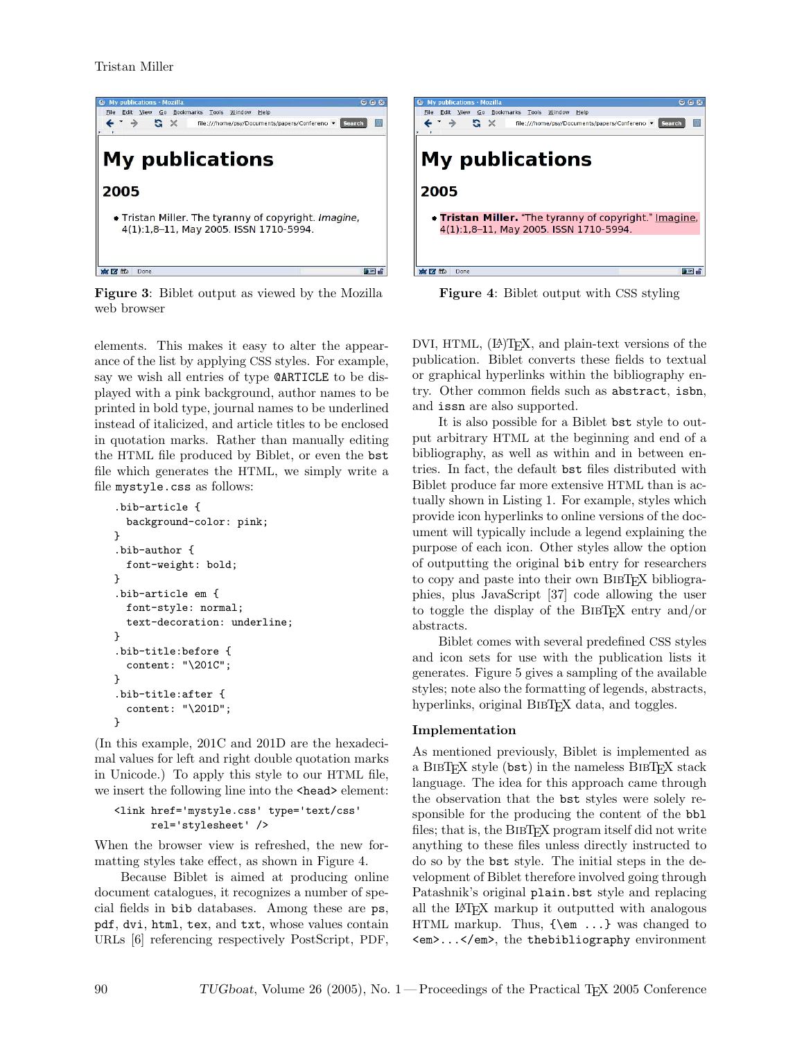

Figure 3: Biblet output as viewed by the Mozilla web browser

elements. This makes it easy to alter the appearance of the list by applying CSS styles. For example, say we wish all entries of type @ARTICLE to be displayed with a pink background, author names to be printed in bold type, journal names to be underlined instead of italicized, and article titles to be enclosed in quotation marks. Rather than manually editing the HTML file produced by Biblet, or even the bst file which generates the HTML, we simply write a file mystyle.css as follows:

```
.bib-article {
  background-color: pink;
}
.bib-author {
  font-weight: bold;
}
.bib-article em {
  font-style: normal;
  text-decoration: underline;
}
.bib-title:before {
  content: "\201C";
}
.bib-title:after {
  content: "\201D";
}
```
(In this example, 201C and 201D are the hexadecimal values for left and right double quotation marks in Unicode.) To apply this style to our HTML file, we insert the following line into the **<head>** element:

```
<link href='mystyle.css' type='text/css'
     rel='stylesheet' />
```
When the browser view is refreshed, the new formatting styles take effect, as shown in Figure 4.

Because Biblet is aimed at producing online document catalogues, it recognizes a number of special fields in bib databases. Among these are ps, pdf, dvi, html, tex, and txt, whose values contain URLs [6] referencing respectively PostScript, PDF,



Figure 4: Biblet output with CSS styling

DVI, HTML,  $(E)$ T<sub>F</sub>X, and plain-text versions of the publication. Biblet converts these fields to textual or graphical hyperlinks within the bibliography entry. Other common fields such as abstract, isbn, and issn are also supported.

It is also possible for a Biblet bst style to output arbitrary HTML at the beginning and end of a bibliography, as well as within and in between entries. In fact, the default bst files distributed with Biblet produce far more extensive HTML than is actually shown in Listing 1. For example, styles which provide icon hyperlinks to online versions of the document will typically include a legend explaining the purpose of each icon. Other styles allow the option of outputting the original bib entry for researchers to copy and paste into their own BIBTEX bibliographies, plus JavaScript [37] code allowing the user to toggle the display of the BIBT<sub>EX</sub> entry and/or abstracts.

Biblet comes with several predefined CSS styles and icon sets for use with the publication lists it generates. Figure 5 gives a sampling of the available styles; note also the formatting of legends, abstracts, hyperlinks, original BIBT<sub>EX</sub> data, and toggles.

# Implementation

As mentioned previously, Biblet is implemented as a BIBT<sub>EX</sub> style (bst) in the nameless BIBT<sub>EX</sub> stack language. The idea for this approach came through the observation that the bst styles were solely responsible for the producing the content of the bbl files; that is, the BIBTEX program itself did not write anything to these files unless directly instructed to do so by the bst style. The initial steps in the development of Biblet therefore involved going through Patashnik's original plain.bst style and replacing all the L<sup>A</sup>TEX markup it outputted with analogous HTML markup. Thus, {\em ...} was changed to <em>...</em>, the thebibliography environment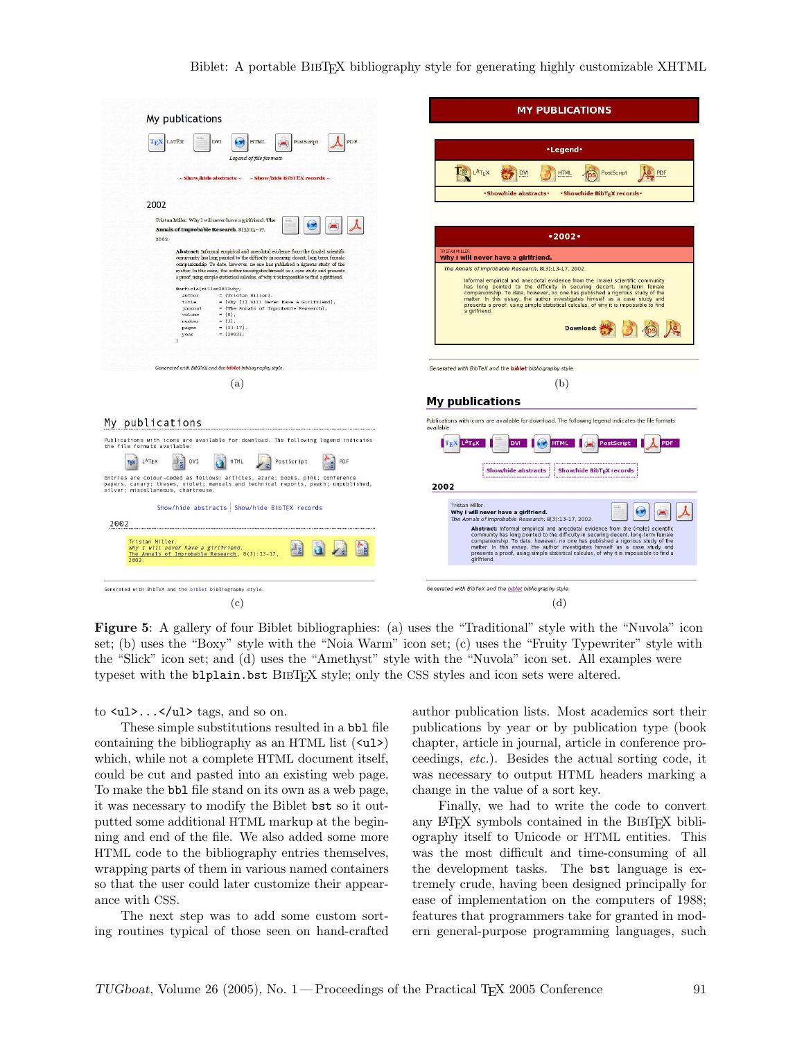#### Biblet: A portable BibTEX bibliography style for generating highly customizable XHTML

| My publications                                                                                                                                                                                                                                                                                                                                                                                                                                                                                                                                                                                                                                                                                                                | <b>MY PUBLICATIONS</b>                                                                                                                                                                                                                                                                                                                                                                                                                                                                                                                                                       |
|--------------------------------------------------------------------------------------------------------------------------------------------------------------------------------------------------------------------------------------------------------------------------------------------------------------------------------------------------------------------------------------------------------------------------------------------------------------------------------------------------------------------------------------------------------------------------------------------------------------------------------------------------------------------------------------------------------------------------------|------------------------------------------------------------------------------------------------------------------------------------------------------------------------------------------------------------------------------------------------------------------------------------------------------------------------------------------------------------------------------------------------------------------------------------------------------------------------------------------------------------------------------------------------------------------------------|
| <b>TEX LATEX</b><br><b>DVI</b><br>$\left( -\right)$<br><b>HTML</b><br>PDF<br>PostScript                                                                                                                                                                                                                                                                                                                                                                                                                                                                                                                                                                                                                                        | •Legend•                                                                                                                                                                                                                                                                                                                                                                                                                                                                                                                                                                     |
| Legend of file formats<br>$\sim$ Show/hide abstracts $\sim$<br>$\sim$ Show/hide BibTEX records $\sim$                                                                                                                                                                                                                                                                                                                                                                                                                                                                                                                                                                                                                          | LATEX<br><b>HTML</b><br>PostScript<br>PDF<br>DV                                                                                                                                                                                                                                                                                                                                                                                                                                                                                                                              |
| 2002                                                                                                                                                                                                                                                                                                                                                                                                                                                                                                                                                                                                                                                                                                                           | · Show/hide abstracts ·<br>·Show/hide BibTEX records·                                                                                                                                                                                                                                                                                                                                                                                                                                                                                                                        |
| Tristan Miller. Why I will never have a girlfriend. The<br>f v<br>Annals of Improbable Research, 8(3):13-17.<br>2002.                                                                                                                                                                                                                                                                                                                                                                                                                                                                                                                                                                                                          | •2002                                                                                                                                                                                                                                                                                                                                                                                                                                                                                                                                                                        |
| Abstract: Informal empirical and anecdotal evidence from the (male) scientific<br>community has long pointed to the difficulty in securing decent, long-term female<br>companionship. To date, however, no one has published a rigorous study of the<br>matter. In this essay, the author investigates himself as a case study and presents<br>a proof, using simple statistical calculus, of why it is impossible to find a girlfriend.<br>@article(miller2002why,<br>author<br>= {Tristan Miller},<br>= {Why {I} Will Never Have A Girlfriend},<br>title<br>journal<br>= {The Annals of Improbable Research},<br>volume<br>$= {8}.$<br>$= \{3\}$ .<br>number<br>$= \{13-17\}$ ,<br>pages<br>$=$ {2002},<br>year<br>$\lambda$ | <b>TRISTAN MILLER</b><br>Why I will never have a girlfriend.<br>The Annals of Improbable Research, 8(3):13-17, 2002<br>Informal empirical and anecdotal evidence from the (male) scientific community<br>has long pointed to the difficulty in securing decent, long-term female<br>companionship. To date, however, no one has published a rigorous study of the<br>matter. In this essay, the author investigates himself as a case study and<br>presents a proof, using simple statistical calculus, of why it is impossible to find<br>a girlfriend.<br><b>Download:</b> |
| Generated with BibTeX and the <b>biblet</b> bibliography style.                                                                                                                                                                                                                                                                                                                                                                                                                                                                                                                                                                                                                                                                | Generated with BibTeX and the <b>biblet</b> bibliography style                                                                                                                                                                                                                                                                                                                                                                                                                                                                                                               |
| (a)                                                                                                                                                                                                                                                                                                                                                                                                                                                                                                                                                                                                                                                                                                                            | (b)<br><b>My publications</b>                                                                                                                                                                                                                                                                                                                                                                                                                                                                                                                                                |
| My publications                                                                                                                                                                                                                                                                                                                                                                                                                                                                                                                                                                                                                                                                                                                | Publications with icons are available for download. The following legend indicates the file formats<br>available:                                                                                                                                                                                                                                                                                                                                                                                                                                                            |
| Publications with icons are available for download. The following legend indicates<br>the file formats available:<br>PostScript<br>LATEX<br>DV1<br><b>HTML</b><br>PDF<br>TEX<br>Entries are colour-coded as follows: articles, azure; books, pink; conference<br>papers, canary; theses, violet; manuals and technical reports, peach; unpublished,<br>silver; miscellaneous, chartreuse.                                                                                                                                                                                                                                                                                                                                      | L <sup>A</sup> T <sub>E</sub> X<br><b>PostScript</b><br>PDF<br>ועם<br>HTML<br>Show/hide BibT <sub>E</sub> X records<br><b>Show/hide abstracts</b><br>2002                                                                                                                                                                                                                                                                                                                                                                                                                    |
| Show/hide abstracts   Show/hide BibTEX records                                                                                                                                                                                                                                                                                                                                                                                                                                                                                                                                                                                                                                                                                 | Tristan Miller.<br>Why I will never have a girlfriend.                                                                                                                                                                                                                                                                                                                                                                                                                                                                                                                       |
| 2002<br>Tristan Miller.<br>Why I will never have a girlfriend.<br>The Annals of Improbable Research, 8(3):13-17<br>2002                                                                                                                                                                                                                                                                                                                                                                                                                                                                                                                                                                                                        | The Annals of Improbable Research. 8(3):13-17, 2002<br>Abstract: Informal empirical and anecdotal evidence from the (male) scientific<br>community has long pointed to the difficulty in securing decent, long-term female<br>companionship. To date, however, no one has published a rigorous study of the<br>matter. In this essay, the author investigates himself as a case study and<br>presents a proof, using simple statistical calculus, of why it is impossible to find a<br>girlfriend.                                                                           |
|                                                                                                                                                                                                                                                                                                                                                                                                                                                                                                                                                                                                                                                                                                                                | Generated with BibTeX and the biblet bibliography style                                                                                                                                                                                                                                                                                                                                                                                                                                                                                                                      |
| Generated with BibTeX and the biblet bibliography style<br>(c)                                                                                                                                                                                                                                                                                                                                                                                                                                                                                                                                                                                                                                                                 | (d)                                                                                                                                                                                                                                                                                                                                                                                                                                                                                                                                                                          |

Figure 5: A gallery of four Biblet bibliographies: (a) uses the "Traditional" style with the "Nuvola" icon set; (b) uses the "Boxy" style with the "Noia Warm" icon set; (c) uses the "Fruity Typewriter" style with the "Slick" icon set; and (d) uses the "Amethyst" style with the "Nuvola" icon set. All examples were typeset with the blplain.bst BIBT<sub>EX</sub> style; only the CSS styles and icon sets were altered.

to  $\langle \text{ul}\rangle$ ...  $\langle \text{ul}\rangle$  tags, and so on.

These simple substitutions resulted in a bbl file containing the bibliography as an HTML list  $(\langle u \mathbf{l} \rangle)$ which, while not a complete HTML document itself, could be cut and pasted into an existing web page. To make the bbl file stand on its own as a web page, it was necessary to modify the Biblet bst so it outputted some additional HTML markup at the beginning and end of the file. We also added some more HTML code to the bibliography entries themselves, wrapping parts of them in various named containers so that the user could later customize their appearance with CSS.

The next step was to add some custom sorting routines typical of those seen on hand-crafted author publication lists. Most academics sort their publications by year or by publication type (book chapter, article in journal, article in conference proceedings, etc.). Besides the actual sorting code, it was necessary to output HTML headers marking a change in the value of a sort key.

Finally, we had to write the code to convert any LAT<sub>EX</sub> symbols contained in the BIBTEX bibliography itself to Unicode or HTML entities. This was the most difficult and time-consuming of all the development tasks. The bst language is extremely crude, having been designed principally for ease of implementation on the computers of 1988; features that programmers take for granted in modern general-purpose programming languages, such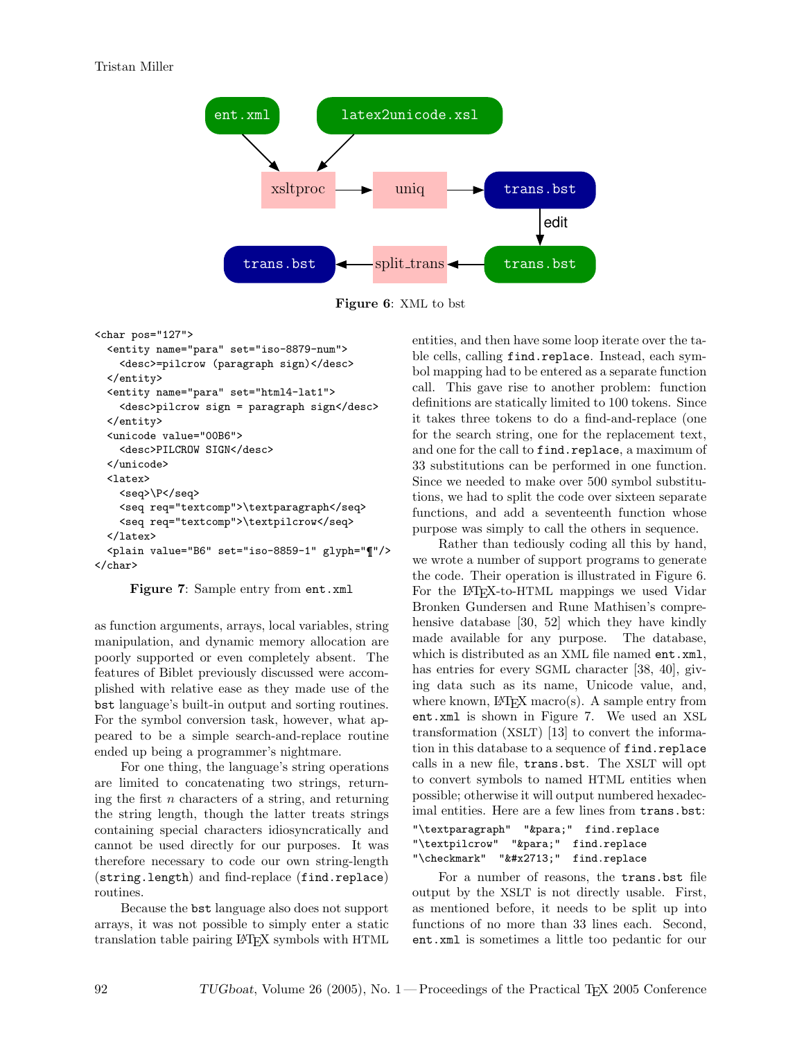

Figure 6: XML to bst

<char pos="127">

```
<entity name="para" set="iso-8879-num">
   <desc>=pilcrow (paragraph sign)</desc>
  </entity>
  <entity name="para" set="html4-lat1">
    <desc>pilcrow sign = paragraph sign</desc>
  </entity>
  <unicode value="00B6">
    <desc>PILCROW SIGN</desc>
 </unicode>
 <latex>
    <seq>\P</seq>
   <seq req="textcomp">\textparagraph</seq>
    <seq req="textcomp">\textpilcrow</seq>
  </latex>
  <plain value="B6" set="iso-8859-1" glyph="¶"/>
</char>
```
Figure 7: Sample entry from ent.xml

as function arguments, arrays, local variables, string manipulation, and dynamic memory allocation are poorly supported or even completely absent. The features of Biblet previously discussed were accomplished with relative ease as they made use of the bst language's built-in output and sorting routines. For the symbol conversion task, however, what appeared to be a simple search-and-replace routine ended up being a programmer's nightmare.

For one thing, the language's string operations are limited to concatenating two strings, returning the first  $n$  characters of a string, and returning the string length, though the latter treats strings containing special characters idiosyncratically and cannot be used directly for our purposes. It was therefore necessary to code our own string-length (string.length) and find-replace (find.replace) routines.

Because the bst language also does not support arrays, it was not possible to simply enter a static translation table pairing L<sup>A</sup>TEX symbols with HTML entities, and then have some loop iterate over the table cells, calling find.replace. Instead, each symbol mapping had to be entered as a separate function call. This gave rise to another problem: function definitions are statically limited to 100 tokens. Since it takes three tokens to do a find-and-replace (one for the search string, one for the replacement text, and one for the call to find.replace, a maximum of 33 substitutions can be performed in one function. Since we needed to make over 500 symbol substitutions, we had to split the code over sixteen separate functions, and add a seventeenth function whose purpose was simply to call the others in sequence.

Rather than tediously coding all this by hand, we wrote a number of support programs to generate the code. Their operation is illustrated in Figure 6. For the LAT<sub>EX</sub>-to-HTML mappings we used Vidar Bronken Gundersen and Rune Mathisen's comprehensive database [30, 52] which they have kindly made available for any purpose. The database, which is distributed as an XML file named ent.xml, has entries for every SGML character [38, 40], giving data such as its name, Unicode value, and, where known,  $\mathbb{P}\Gamma$ <sub>F</sub>X macro(s). A sample entry from ent.xml is shown in Figure 7. We used an XSL transformation (XSLT) [13] to convert the information in this database to a sequence of find.replace calls in a new file, trans.bst. The XSLT will opt to convert symbols to named HTML entities when possible; otherwise it will output numbered hexadecimal entities. Here are a few lines from trans.bst:

```
"\textparagraph" "¶" find.replace
"\textpilcrow" "¶" find.replace
"\checkmark" "✓" find.replace
```
For a number of reasons, the trans.bst file output by the XSLT is not directly usable. First, as mentioned before, it needs to be split up into functions of no more than 33 lines each. Second, ent.xml is sometimes a little too pedantic for our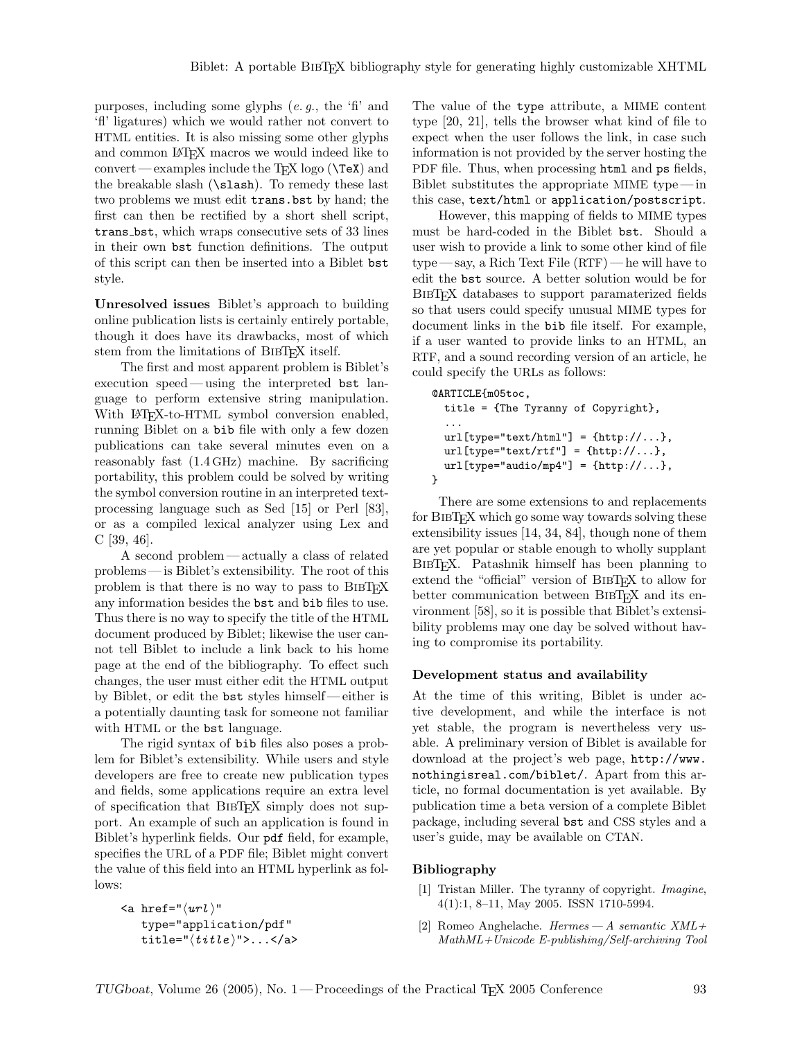purposes, including some glyphs  $(e, g, \theta)$ , the 'fi' and 'fl' ligatures) which we would rather not convert to HTML entities. It is also missing some other glyphs and common L<sup>A</sup>TEX macros we would indeed like to convert — examples include the  $T_F X \log o$  ( $\text{TeV}$ ) and the breakable slash (\slash). To remedy these last two problems we must edit trans.bst by hand; the first can then be rectified by a short shell script, trans bst, which wraps consecutive sets of 33 lines in their own bst function definitions. The output of this script can then be inserted into a Biblet bst style.

Unresolved issues Biblet's approach to building online publication lists is certainly entirely portable, though it does have its drawbacks, most of which stem from the limitations of BIBT<sub>EX</sub> itself.

The first and most apparent problem is Biblet's execution speed — using the interpreted bst language to perform extensive string manipulation. With L<sup>AT</sup><sub>E</sub>X-to-HTML symbol conversion enabled, running Biblet on a bib file with only a few dozen publications can take several minutes even on a reasonably fast (1.4 GHz) machine. By sacrificing portability, this problem could be solved by writing the symbol conversion routine in an interpreted textprocessing language such as Sed [15] or Perl [83], or as a compiled lexical analyzer using Lex and C [39, 46].

A second problem— actually a class of related problems— is Biblet's extensibility. The root of this problem is that there is no way to pass to BibTEX any information besides the bst and bib files to use. Thus there is no way to specify the title of the HTML document produced by Biblet; likewise the user cannot tell Biblet to include a link back to his home page at the end of the bibliography. To effect such changes, the user must either edit the HTML output by Biblet, or edit the bst styles himself— either is a potentially daunting task for someone not familiar with HTML or the bst language.

The rigid syntax of bib files also poses a problem for Biblet's extensibility. While users and style developers are free to create new publication types and fields, some applications require an extra level of specification that BibTEX simply does not support. An example of such an application is found in Biblet's hyperlink fields. Our pdf field, for example, specifies the URL of a PDF file; Biblet might convert the value of this field into an HTML hyperlink as follows:

```
\langle a \rangle href="\langle url \rangle"
     type="application/pdf"
     title="\langle title \rangle">...</a>
```
The value of the type attribute, a MIME content type [20, 21], tells the browser what kind of file to expect when the user follows the link, in case such information is not provided by the server hosting the PDF file. Thus, when processing html and ps fields, Biblet substitutes the appropriate MIME type— in this case, text/html or application/postscript.

However, this mapping of fields to MIME types must be hard-coded in the Biblet bst. Should a user wish to provide a link to some other kind of file type— say, a Rich Text File (RTF) — he will have to edit the bst source. A better solution would be for BibTEX databases to support paramaterized fields so that users could specify unusual MIME types for document links in the bib file itself. For example, if a user wanted to provide links to an HTML, an RTF, and a sound recording version of an article, he could specify the URLs as follows:

```
@ARTICLE{m05toc,
```

```
title = {The Tyranny of Copyright},
  ...
 url[type="text/html"] = \{http://...},url[type='text/rtf"] = \{http://...},url[type="audio/mp4"] = \{http://...},}
```
There are some extensions to and replacements for BIBT<sub>EX</sub> which go some way towards solving these extensibility issues [14, 34, 84], though none of them are yet popular or stable enough to wholly supplant BIBT<sub>EX</sub>. Patashnik himself has been planning to extend the "official" version of BIBT<sub>EX</sub> to allow for better communication between BIBT<sub>EX</sub> and its environment [58], so it is possible that Biblet's extensibility problems may one day be solved without having to compromise its portability.

### Development status and availability

At the time of this writing, Biblet is under active development, and while the interface is not yet stable, the program is nevertheless very usable. A preliminary version of Biblet is available for download at the project's web page, http://www. nothingisreal.com/biblet/. Apart from this article, no formal documentation is yet available. By publication time a beta version of a complete Biblet package, including several bst and CSS styles and a user's guide, may be available on CTAN.

#### Bibliography

- [1] Tristan Miller. The tyranny of copyright. Imagine, 4(1):1, 8–11, May 2005. ISSN 1710-5994.
- [2] Romeo Anghelache. Hermes A semantic  $XML+$ MathML+Unicode E-publishing/Self-archiving Tool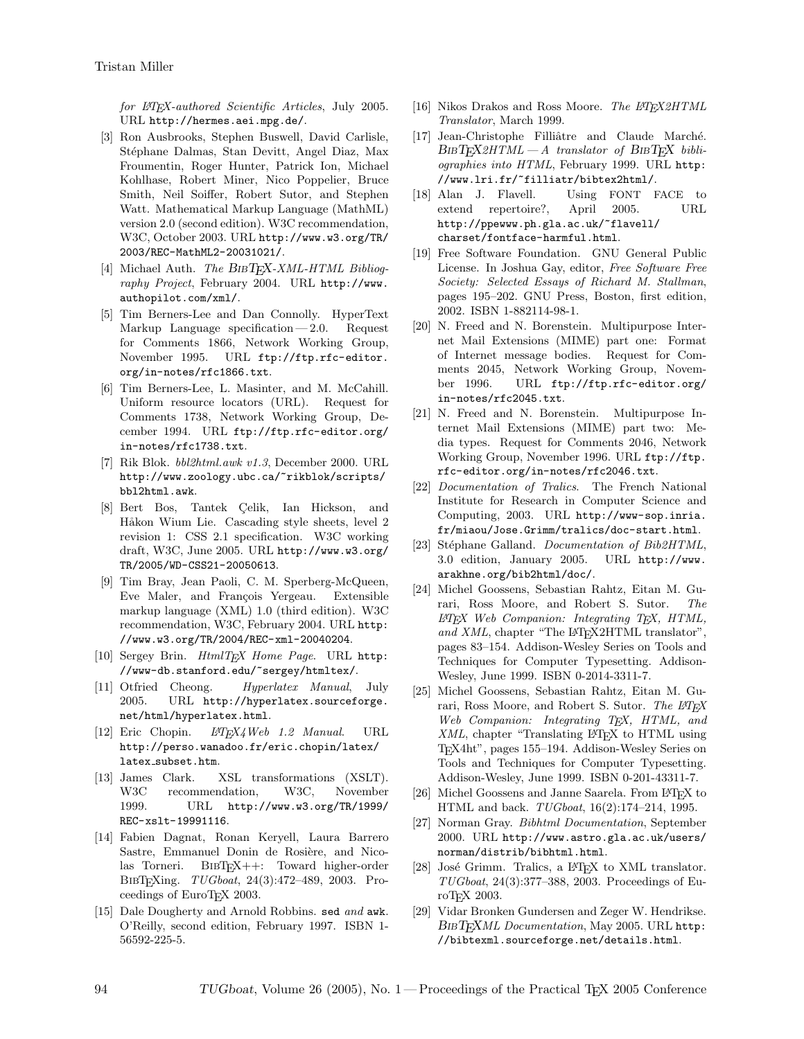for L<sup>H</sup>FX-authored Scientific Articles, July 2005. URL http://hermes.aei.mpg.de/.

- [3] Ron Ausbrooks, Stephen Buswell, David Carlisle, Stéphane Dalmas, Stan Devitt, Angel Diaz, Max Froumentin, Roger Hunter, Patrick Ion, Michael Kohlhase, Robert Miner, Nico Poppelier, Bruce Smith, Neil Soiffer, Robert Sutor, and Stephen Watt. Mathematical Markup Language (MathML) version 2.0 (second edition). W3C recommendation, W3C, October 2003. URL http://www.w3.org/TR/ 2003/REC-MathML2-20031021/.
- [4] Michael Auth. The  $BIBT_F X$ -XML-HTML Bibliography Project, February 2004. URL http://www. authopilot.com/xml/.
- [5] Tim Berners-Lee and Dan Connolly. HyperText Markup Language specification  $-2.0$ . Request for Comments 1866, Network Working Group, November 1995. URL ftp://ftp.rfc-editor. org/in-notes/rfc1866.txt.
- [6] Tim Berners-Lee, L. Masinter, and M. McCahill. Uniform resource locators (URL). Request for Comments 1738, Network Working Group, December 1994. URL ftp://ftp.rfc-editor.org/ in-notes/rfc1738.txt.
- [7] Rik Blok. bbl2html.awk v1.3, December 2000. URL http://www.zoology.ubc.ca/~rikblok/scripts/ bbl2html.awk.
- [8] Bert Bos, Tantek Celik, Ian Hickson, and Håkon Wium Lie. Cascading style sheets, level 2 revision 1: CSS 2.1 specification. W3C working draft, W3C, June 2005. URL http://www.w3.org/ TR/2005/WD-CSS21-20050613.
- [9] Tim Bray, Jean Paoli, C. M. Sperberg-McQueen, Eve Maler, and François Yergeau. Extensible markup language (XML) 1.0 (third edition). W3C recommendation, W3C, February 2004. URL http: //www.w3.org/TR/2004/REC-xml-20040204.
- [10] Sergey Brin. HtmlTEX Home Page. URL http: //www-db.stanford.edu/~sergey/htmltex/.
- [11] Otfried Cheong. Hyperlatex Manual, July 2005. URL http://hyperlatex.sourceforge. net/html/hyperlatex.html.
- [12] Eric Chopin.  $LAT_F X4$ Web 1.2 Manual. URL http://perso.wanadoo.fr/eric.chopin/latex/ latex\_subset.htm.
- [13] James Clark. XSL transformations (XSLT). W3C recommendation, W3C, November 1999. URL http://www.w3.org/TR/1999/ REC-xslt-19991116.
- [14] Fabien Dagnat, Ronan Keryell, Laura Barrero Sastre, Emmanuel Donin de Rosière, and Nicolas Torneri. BibTEX++: Toward higher-order BibTEXing. TUGboat, 24(3):472–489, 2003. Proceedings of EuroTEX 2003.
- [15] Dale Dougherty and Arnold Robbins. sed and awk. O'Reilly, second edition, February 1997. ISBN 1- 56592-225-5.
- [16] Nikos Drakos and Ross Moore. The  $LATEX2HTML$ Translator, March 1999.
- [17] Jean-Christophe Filliâtre and Claude Marché.  $B$ IBT $FX2HTML - A$  translator of  $B$ IBT $FX$  bibliographies into HTML, February 1999. URL http: //www.lri.fr/~filliatr/bibtex2html/.
- [18] Alan J. Flavell. Using FONT FACE to extend repertoire?, April 2005. URL http://ppewww.ph.gla.ac.uk/~flavell/ charset/fontface-harmful.html.
- [19] Free Software Foundation. GNU General Public License. In Joshua Gay, editor, Free Software Free Society: Selected Essays of Richard M. Stallman, pages 195–202. GNU Press, Boston, first edition, 2002. ISBN 1-882114-98-1.
- [20] N. Freed and N. Borenstein. Multipurpose Internet Mail Extensions (MIME) part one: Format of Internet message bodies. Request for Comments 2045, Network Working Group, November 1996. URL ftp://ftp.rfc-editor.org/ in-notes/rfc2045.txt.
- [21] N. Freed and N. Borenstein. Multipurpose Internet Mail Extensions (MIME) part two: Media types. Request for Comments 2046, Network Working Group, November 1996. URL ftp://ftp. rfc-editor.org/in-notes/rfc2046.txt.
- [22] Documentation of Tralics. The French National Institute for Research in Computer Science and Computing, 2003. URL http://www-sop.inria. fr/miaou/Jose.Grimm/tralics/doc-start.html.
- [23] Stéphane Galland. Documentation of Bib2HTML, 3.0 edition, January 2005. URL http://www. arakhne.org/bib2html/doc/.
- [24] Michel Goossens, Sebastian Rahtz, Eitan M. Gurari, Ross Moore, and Robert S. Sutor. The  $\langle \mathcal{L} H \mathcal{F} \mathcal{L} \mathcal{L} \mathcal{L} \mathcal{L} \mathcal{L} \mathcal{L} \mathcal{L} \mathcal{L} \mathcal{L} \mathcal{L} \mathcal{L} \mathcal{L} \mathcal{L} \mathcal{L} \mathcal{L} \mathcal{L} \mathcal{L} \mathcal{L} \mathcal{L} \mathcal{L} \mathcal{L} \mathcal{L} \mathcal{L} \mathcal{L} \mathcal{L} \mathcal{L} \mathcal{L} \mathcal{L} \mathcal{L} \mathcal{L} \mathcal{L} \mathcal{L} \mathcal{L} \mathcal{L} \$ and XML, chapter "The L<sup>AT</sup>FX2HTML translator", pages 83–154. Addison-Wesley Series on Tools and Techniques for Computer Typesetting. Addison-Wesley, June 1999. ISBN 0-2014-3311-7.
- [25] Michel Goossens, Sebastian Rahtz, Eitan M. Gurari, Ross Moore, and Robert S. Sutor. The L<sup>4T</sup>EX Web Companion: Integrating T<sub>E</sub>X, HTML, and XML, chapter "Translating IMEX to HTML using TEX4ht", pages 155–194. Addison-Wesley Series on Tools and Techniques for Computer Typesetting. Addison-Wesley, June 1999. ISBN 0-201-43311-7.
- [26] Michel Goossens and Janne Saarela. From L<sup>AT</sup>EX to HTML and back. TUGboat, 16(2):174–214, 1995.
- [27] Norman Gray. Bibhtml Documentation, September 2000. URL http://www.astro.gla.ac.uk/users/ norman/distrib/bibhtml.html.
- [28] José Grimm. Tralics, a L<sup>AT</sup>EX to XML translator. TUGboat, 24(3):377–388, 2003. Proceedings of EuroT<sub>F</sub>X 2003.
- [29] Vidar Bronken Gundersen and Zeger W. Hendrikse. BIBTEXML Documentation, May 2005. URL http: //bibtexml.sourceforge.net/details.html.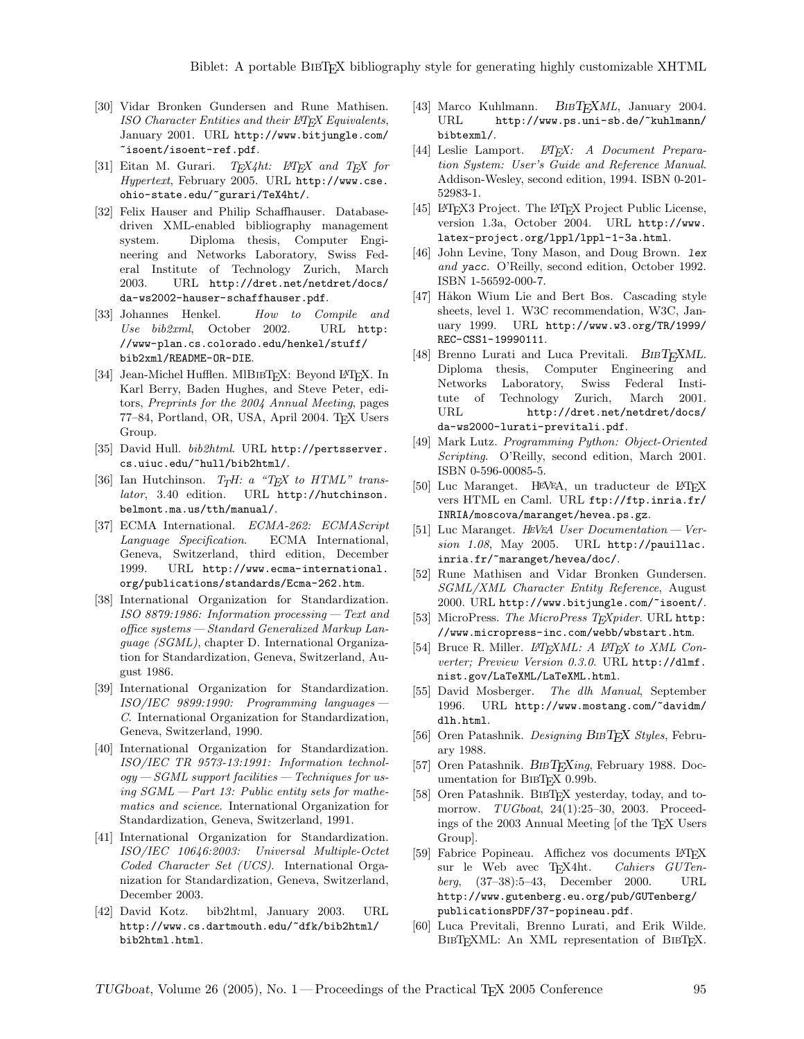- [30] Vidar Bronken Gundersen and Rune Mathisen. ISO Character Entities and their L<sup>AT</sup>FX Equivalents, January 2001. URL http://www.bitjungle.com/ ~isoent/isoent-ref.pdf.
- [31] Eitan M. Gurari.  $T_F X \& \text{Int}$  and  $T_F X$  for Hypertext, February 2005. URL http://www.cse. ohio-state.edu/~gurari/TeX4ht/.
- [32] Felix Hauser and Philip Schaffhauser. Databasedriven XML-enabled bibliography management system. Diploma thesis, Computer Engineering and Networks Laboratory, Swiss Federal Institute of Technology Zurich, March 2003. URL http://dret.net/netdret/docs/ da-ws2002-hauser-schaffhauser.pdf.
- [33] Johannes Henkel. How to Compile and Use bib2xml, October 2002. URL http: //www-plan.cs.colorado.edu/henkel/stuff/ bib2xml/README-OR-DIE.
- [34] Jean-Michel Hufflen. MIBIBT<sub>E</sub>X: Beyond LATEX. In Karl Berry, Baden Hughes, and Steve Peter, editors, Preprints for the 2004 Annual Meeting, pages 77–84, Portland, OR, USA, April 2004. TEX Users Group.
- [35] David Hull. bib2html. URL http://pertsserver. cs.uiuc.edu/~hull/bib2html/.
- [36] Ian Hutchinson.  $T_TH: a$  "TEX to HTML" translator, 3.40 edition. URL http://hutchinson. belmont.ma.us/tth/manual/.
- [37] ECMA International. ECMA-262: ECMAScript Language Specification. ECMA International, Geneva, Switzerland, third edition, December 1999. URL http://www.ecma-international. org/publications/standards/Ecma-262.htm.
- [38] International Organization for Standardization. ISO 8879:1986: Information processing— Text and office systems— Standard Generalized Markup Language (SGML), chapter D. International Organization for Standardization, Geneva, Switzerland, August 1986.
- [39] International Organization for Standardization.  $ISO/IEC$  9899:1990: Programming languages C. International Organization for Standardization, Geneva, Switzerland, 1990.
- [40] International Organization for Standardization. ISO/IEC TR 9573-13:1991: Information technol $ogy-SGML support facilities - Techniques for us$ ing  $SGML - Part$  13: Public entity sets for mathematics and science. International Organization for Standardization, Geneva, Switzerland, 1991.
- [41] International Organization for Standardization. ISO/IEC 10646:2003: Universal Multiple-Octet Coded Character Set (UCS). International Organization for Standardization, Geneva, Switzerland, December 2003.
- [42] David Kotz. bib2html, January 2003. URL http://www.cs.dartmouth.edu/~dfk/bib2html/ bib2html.html.
- [43] Marco Kuhlmann. BIBTEXML, January 2004. URL http://www.ps.uni-sb.de/"kuhlmann/ bibtexml/.
- [44] Leslie Lamport. L<sup>AT</sup>EX: A Document Preparation System: User's Guide and Reference Manual. Addison-Wesley, second edition, 1994. ISBN 0-201- 52983-1.
- [45] LATEX3 Project. The LATEX Project Public License, version 1.3a, October 2004. URL http://www. latex-project.org/lppl/lppl-1-3a.html.
- [46] John Levine, Tony Mason, and Doug Brown. lex and yacc. O'Reilly, second edition, October 1992. ISBN 1-56592-000-7.
- [47] Håkon Wium Lie and Bert Bos. Cascading style sheets, level 1. W3C recommendation, W3C, January 1999. URL http://www.w3.org/TR/1999/ REC-CSS1-19990111.
- [48] Brenno Lurati and Luca Previtali.  $BIBT_FXML$ . Diploma thesis, Computer Engineering and Networks Laboratory, Swiss Federal Institute of Technology Zurich, March 2001. URL http://dret.net/netdret/docs/ da-ws2000-lurati-previtali.pdf.
- [49] Mark Lutz. Programming Python: Object-Oriented Scripting. O'Reilly, second edition, March 2001. ISBN 0-596-00085-5.
- [50] Luc Maranget. HEVEA, un traducteur de L<sup>AT</sup>EX vers HTML en Caml. URL ftp://ftp.inria.fr/ INRIA/moscova/maranget/hevea.ps.gz.
- [51] Luc Maranget. H<sup>E</sup>V<sup>E</sup>A User Documentation Version 1.08, May 2005. URL http://pauillac. inria.fr/~maranget/hevea/doc/.
- [52] Rune Mathisen and Vidar Bronken Gundersen. SGML/XML Character Entity Reference, August 2000. URL http://www.bitjungle.com/~isoent/.
- [53] MicroPress. The MicroPress TEXpider. URL http: //www.micropress-inc.com/webb/wbstart.htm.
- [54] Bruce R. Miller.  $L^2T_FXML: A L^2T_FX$  to XML Converter; Preview Version 0.3.0. URL http://dlmf. nist.gov/LaTeXML/LaTeXML.html.
- [55] David Mosberger. The dlh Manual, September 1996. URL http://www.mostang.com/~davidm/ dlh.html.
- [56] Oren Patashnik. Designing BIBTEX Styles, February 1988.
- [57] Oren Patashnik. BIBTEXing, February 1988. Documentation for BIBTEX 0.99b.
- [58] Oren Patashnik. BibTEX yesterday, today, and tomorrow. *TUGboat*, 24(1):25–30, 2003. Proceedings of the 2003 Annual Meeting [of the TEX Users Group].
- [59] Fabrice Popineau. Affichez vos documents L<sup>AT</sup>EX sur le Web avec TEX4ht. Cahiers GUTensur le Web avec TEX4ht. *Cahiers GUTen-*<br>berg. (37–38):5–43. December 2000. URL berg,  $(37-38):5-43$ , December 2000. http://www.gutenberg.eu.org/pub/GUTenberg/ publicationsPDF/37-popineau.pdf.
- [60] Luca Previtali, Brenno Lurati, and Erik Wilde. BIBTEXML: An XML representation of BIBTEX.